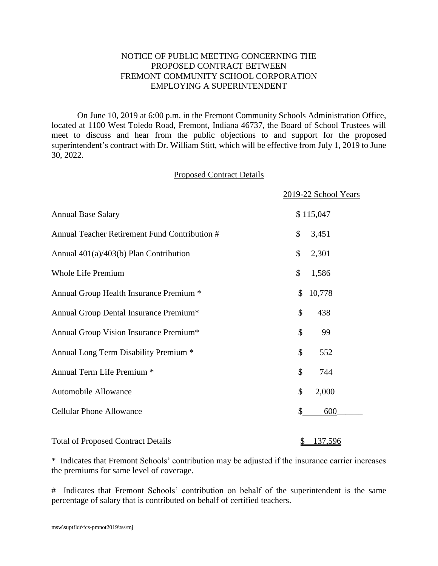## NOTICE OF PUBLIC MEETING CONCERNING THE PROPOSED CONTRACT BETWEEN FREMONT COMMUNITY SCHOOL CORPORATION EMPLOYING A SUPERINTENDENT

On June 10, 2019 at 6:00 p.m. in the Fremont Community Schools Administration Office, located at 1100 West Toledo Road, Fremont, Indiana 46737, the Board of School Trustees will meet to discuss and hear from the public objections to and support for the proposed superintendent's contract with Dr. William Stitt, which will be effective from July 1, 2019 to June 30, 2022.

## Proposed Contract Details

|                                               | 2019-22 School Years |         |  |
|-----------------------------------------------|----------------------|---------|--|
| <b>Annual Base Salary</b>                     | \$115,047            |         |  |
| Annual Teacher Retirement Fund Contribution # | \$                   | 3,451   |  |
| Annual $401(a)/403(b)$ Plan Contribution      | \$                   | 2,301   |  |
| <b>Whole Life Premium</b>                     | \$                   | 1,586   |  |
| Annual Group Health Insurance Premium *       | \$                   | 10,778  |  |
| Annual Group Dental Insurance Premium*        | \$                   | 438     |  |
| Annual Group Vision Insurance Premium*        | \$                   | 99      |  |
| Annual Long Term Disability Premium *         | \$                   | 552     |  |
| Annual Term Life Premium *                    | \$                   | 744     |  |
| Automobile Allowance                          | \$                   | 2,000   |  |
| <b>Cellular Phone Allowance</b>               | \$                   | 600     |  |
| <b>Total of Proposed Contract Details</b>     | $\frac{1}{2}$        | 137,596 |  |

\* Indicates that Fremont Schools' contribution may be adjusted if the insurance carrier increases the premiums for same level of coverage.

# Indicates that Fremont Schools' contribution on behalf of the superintendent is the same percentage of salary that is contributed on behalf of certified teachers.